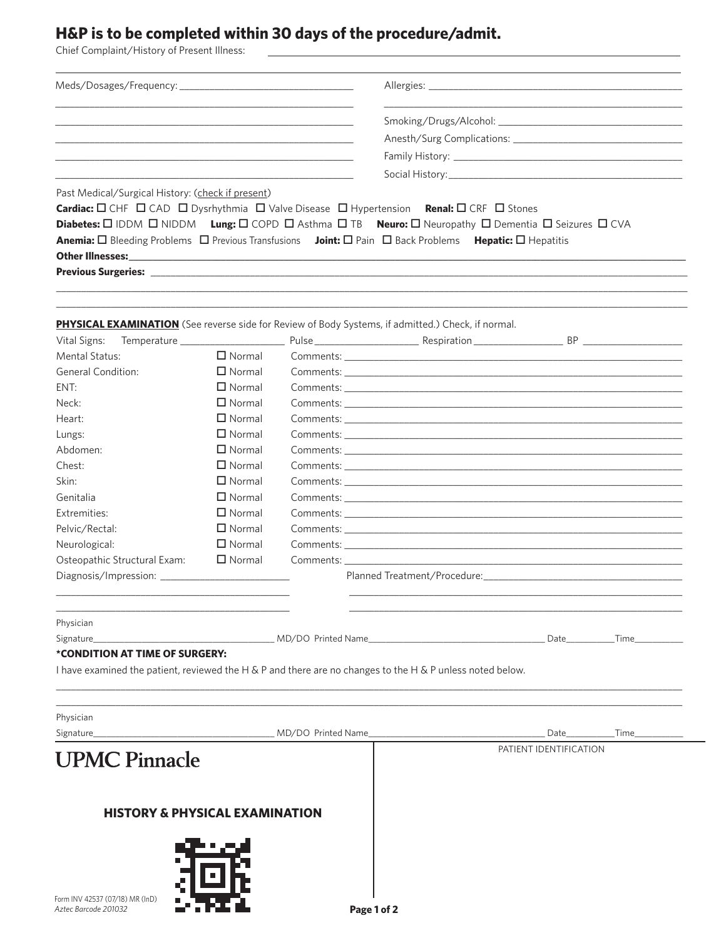## H&P is to be completed within 30 days of the procedure/admit.

Chief Complaint/History of Present Illness:

Meds/Dosages/Frequency: \_\_\_\_\_\_\_\_\_\_\_\_\_\_\_ Allergies: \_\_ Smoking/Drugs/Alcohol: \_\_ Family History: \_ Social History: Past Medical/Surgical History: (check if present) Cardiac: □ CHF □ CAD □ Dysrhythmia □ Valve Disease □ Hypertension Renal: □ CRF □ Stones Diabetes: 0 IDDM 0 NIDDM Lung: 0 COPD 0 Asthma 0 TB Neuro: 0 Neuropathy 0 Dementia 0 Seizures 0 CVA Anemia: □ Bleeding Problems □ Previous Transfusions Joint: □ Pain □ Back Problems Hepatic: □ Hepatitis **Other Illnesses: Previous Surgeries:** PHYSICAL EXAMINATION (See reverse side for Review of Body Systems, if admitted.) Check, if normal. Pulse Respiration **Example 18** BP Vital Signs: Temperature **Mental Status:**  $\Box$  Normal Comments: General Condition:  $\Box$  Normal Comments:  $\Box$  Normal ENT: Comments: Executive Comments:  $\Box$  Normal Neck: Comments:  $\Box$  Normal Heart: Comments: Lungs:  $\Box$  Normal Comments:  $\Box$  Normal Abdomen: Comments: Chest:  $\Box$  Normal Comments:  $\Box$  Normal Skin: Comments: Genitalia  $\Box$  Normal Comments:  $\Box$  Normal Extremities: Comments: Pelvic/Rectal:  $\Box$  Normal Comments: Neurological:  $\Box$  Normal Comments:  $\Box$  Normal Osteopathic Structural Exam: Comments: Planned Treatment/Procedure: Diagnosis/Impression: Physician Signature \_MD/DO Printed Name Date **Time** \*CONDITION AT TIME OF SURGERY: I have examined the patient, reviewed the H & P and there are no changes to the H & P unless noted below. Physician MD/DO Printed Name Date\_ Signature Time PATIENT IDENTIFICATION **UPMC Pinnacle HISTORY & PHYSICAL EXAMINATION**